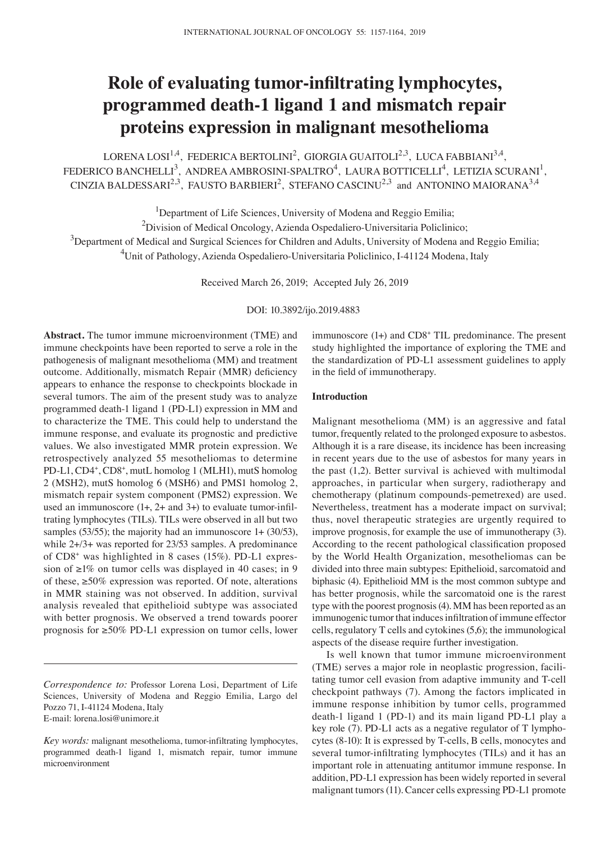# **Role of evaluating tumor‑infiltrating lymphocytes, programmed death‑1 ligand 1 and mismatch repair proteins expression in malignant mesothelioma**

LORENA LOSI<sup>1,4</sup>, FEDERICA BERTOLINI<sup>2</sup>, GIORGIA GUAITOLI<sup>2,3</sup>, LUCA FABBIANI<sup>3,4</sup>, FEDERICO BANCHELLI<sup>3</sup>, ANDREA AMBROSINI-SPALTRO<sup>4</sup>, LAURA BOTTICELLI<sup>4</sup>, LETIZIA SCURANI<sup>1</sup>, CINZIA BALDESSARI<sup>2,3</sup>, FAUSTO BARBIERI<sup>2</sup>, STEFANO CASCINU<sup>2,3</sup> and ANTONINO MAIORANA<sup>3,4</sup>

<sup>1</sup>Department of Life Sciences, University of Modena and Reggio Emilia;

<sup>2</sup>Division of Medical Oncology, Azienda Ospedaliero-Universitaria Policlinico;

 $3$ Department of Medical and Surgical Sciences for Children and Adults, University of Modena and Reggio Emilia; 4 Unit of Pathology, Azienda Ospedaliero-Universitaria Policlinico, I-41124 Modena, Italy

Received March 26, 2019; Accepted July 26, 2019

DOI: 10.3892/ijo.2019.4883

**Abstract.** The tumor immune microenvironment (TME) and immune checkpoints have been reported to serve a role in the pathogenesis of malignant mesothelioma (MM) and treatment outcome. Additionally, mismatch Repair (MMR) deficiency appears to enhance the response to checkpoints blockade in several tumors. The aim of the present study was to analyze programmed death-1 ligand 1 (PD-L1) expression in MM and to characterize the TME. This could help to understand the immune response, and evaluate its prognostic and predictive values. We also investigated MMR protein expression. We retrospectively analyzed 55 mesotheliomas to determine PD-L1, CD4+, CD8+, mutL homolog 1 (MLH1), mutS homolog 2 (MSH2), mutS homolog 6 (MSH6) and PMS1 homolog 2, mismatch repair system component (PMS2) expression. We used an immunoscore  $(1+, 2+$  and  $3+)$  to evaluate tumor-infiltrating lymphocytes (TILs). TILs were observed in all but two samples (53/55); the majority had an immunoscore 1+ (30/53), while 2+/3+ was reported for 23/53 samples. A predominance of CD8+ was highlighted in 8 cases (15%). PD-L1 expression of ≥1% on tumor cells was displayed in 40 cases; in 9 of these, ≥50% expression was reported. Of note, alterations in MMR staining was not observed. In addition, survival analysis revealed that epithelioid subtype was associated with better prognosis. We observed a trend towards poorer prognosis for ≥50% PD‑L1 expression on tumor cells, lower

*Correspondence to:* Professor Lorena Losi, Department of Life Sciences, University of Modena and Reggio Emilia, Largo del Pozzo 71, I-41124 Modena, Italy E-mail: lorena.losi@unimore.it

immunoscore (1+) and CD8<sup>+</sup> TIL predominance. The present study highlighted the importance of exploring the TME and the standardization of PD-L1 assessment guidelines to apply in the field of immunotherapy.

### **Introduction**

Malignant mesothelioma (MM) is an aggressive and fatal tumor, frequently related to the prolonged exposure to asbestos. Although it is a rare disease, its incidence has been increasing in recent years due to the use of asbestos for many years in the past (1,2). Better survival is achieved with multimodal approaches, in particular when surgery, radiotherapy and chemotherapy (platinum compounds-pemetrexed) are used. Nevertheless, treatment has a moderate impact on survival; thus, novel therapeutic strategies are urgently required to improve prognosis, for example the use of immunotherapy (3). According to the recent pathological classification proposed by the World Health Organization, mesotheliomas can be divided into three main subtypes: Epithelioid, sarcomatoid and biphasic (4). Epithelioid MM is the most common subtype and has better prognosis, while the sarcomatoid one is the rarest type with the poorest prognosis(4). MM has been reported as an immunogenic tumor that induces infiltration of immune effector cells, regulatory T cells and cytokines (5,6); the immunological aspects of the disease require further investigation.

Is well known that tumor immune microenvironment (TME) serves a major role in neoplastic progression, facilitating tumor cell evasion from adaptive immunity and T-cell checkpoint pathways (7). Among the factors implicated in immune response inhibition by tumor cells, programmed death-1 ligand 1 (PD-1) and its main ligand PD-L1 play a key role (7). PD-L1 acts as a negative regulator of T lymphocytes (8-10): It is expressed by T-cells, B cells, monocytes and several tumor-infiltrating lymphocytes (TILs) and it has an important role in attenuating antitumor immune response. In addition, PD-L1 expression has been widely reported in several malignant tumors(11). Cancer cells expressing PD-L1 promote

*Key words:* malignant mesothelioma, tumor-infiltrating lymphocytes, programmed death-1 ligand 1, mismatch repair, tumor immune microenvironment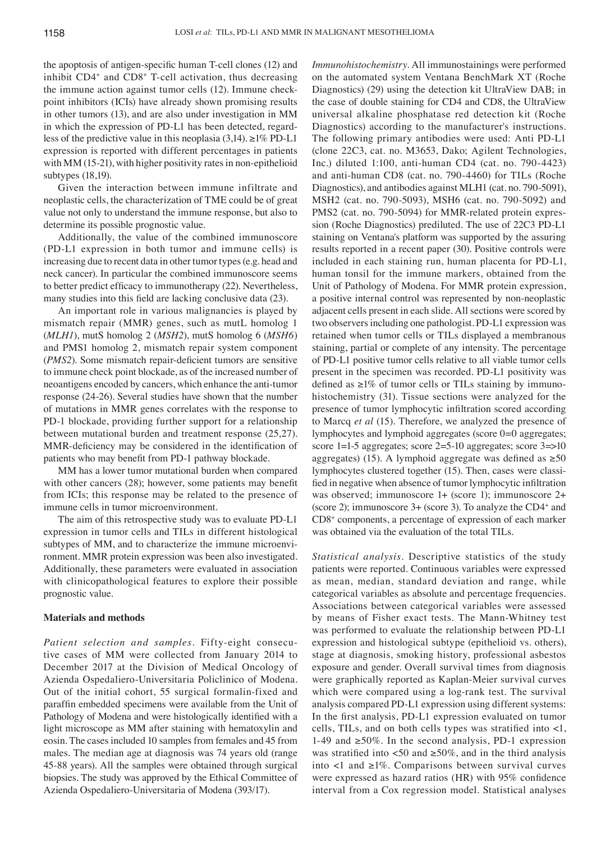the apoptosis of antigen-specific human T-cell clones (12) and inhibit CD4+ and CD8+ T-cell activation, thus decreasing the immune action against tumor cells (12). Immune checkpoint inhibitors (ICIs) have already shown promising results in other tumors (13), and are also under investigation in MM in which the expression of PD-L1 has been detected, regardless of the predictive value in this neoplasia (3,14). ≥1% PD-L1 expression is reported with different percentages in patients with MM (15-21), with higher positivity rates in non-epithelioid subtypes (18,19).

Given the interaction between immune infiltrate and neoplastic cells, the characterization of TME could be of great value not only to understand the immune response, but also to determine its possible prognostic value.

Additionally, the value of the combined immunoscore (PD-L1 expression in both tumor and immune cells) is increasing due to recent data in other tumor types (e.g. head and neck cancer). In particular the combined immunoscore seems to better predict efficacy to immunotherapy (22). Nevertheless, many studies into this field are lacking conclusive data (23).

An important role in various malignancies is played by mismatch repair (MMR) genes, such as mutL homolog 1 (*MLH1*), mutS homolog 2 (*MSH2*), mutS homolog 6 (*MSH6*) and PMS1 homolog 2, mismatch repair system component (*PMS2*). Some mismatch repair‑deficient tumors are sensitive to immune check point blockade, as of the increased number of neoantigens encoded by cancers, which enhance the anti-tumor response (24-26). Several studies have shown that the number of mutations in MMR genes correlates with the response to PD-1 blockade, providing further support for a relationship between mutational burden and treatment response (25,27). MMR-deficiency may be considered in the identification of patients who may benefit from PD‑1 pathway blockade.

MM has a lower tumor mutational burden when compared with other cancers (28); however, some patients may benefit from ICIs; this response may be related to the presence of immune cells in tumor microenvironment.

The aim of this retrospective study was to evaluate PD-L1 expression in tumor cells and TILs in different histological subtypes of MM, and to characterize the immune microenvironment. MMR protein expression was been also investigated. Additionally, these parameters were evaluated in association with clinicopathological features to explore their possible prognostic value.

## **Materials and methods**

*Patient selection and samples.* Fifty-eight consecutive cases of MM were collected from January 2014 to December 2017 at the Division of Medical Oncology of Azienda Ospedaliero-Universitaria Policlinico of Modena. Out of the initial cohort, 55 surgical formalin-fixed and paraffin embedded specimens were available from the Unit of Pathology of Modena and were histologically identified with a light microscope as MM after staining with hematoxylin and eosin. The cases included 10 samples from females and 45 from males. The median age at diagnosis was 74 years old (range 45-88 years). All the samples were obtained through surgical biopsies. The study was approved by the Ethical Committee of Azienda Ospedaliero-Universitaria of Modena (393/17).

*Immunohistochemistry.* All immunostainings were performed on the automated system Ventana BenchMark XT (Roche Diagnostics) (29) using the detection kit UltraView DAB; in the case of double staining for CD4 and CD8, the UltraView universal alkaline phosphatase red detection kit (Roche Diagnostics) according to the manufacturer's instructions. The following primary antibodies were used: Anti PD-L1 (clone 22C3, cat. no. M3653, Dako; Agilent Technologies, Inc.) diluted 1:100, anti-human CD4 (cat. no. 790-4423) and anti-human CD8 (cat. no. 790-4460) for TILs (Roche Diagnostics), and antibodies against MLH1 (cat. no. 790-5091), MSH2 (cat. no. 790-5093), MSH6 (cat. no. 790-5092) and PMS2 (cat. no. 790-5094) for MMR-related protein expression (Roche Diagnostics) prediluted. The use of 22C3 PD-L1 staining on Ventana's platform was supported by the assuring results reported in a recent paper (30). Positive controls were included in each staining run, human placenta for PD-L1, human tonsil for the immune markers, obtained from the Unit of Pathology of Modena. For MMR protein expression, a positive internal control was represented by non-neoplastic adjacent cells present in each slide. All sections were scored by two observers including one pathologist. PD-L1 expression was retained when tumor cells or TILs displayed a membranous staining, partial or complete of any intensity. The percentage of PD-L1 positive tumor cells relative to all viable tumor cells present in the specimen was recorded. PD-L1 positivity was defined as  $\geq$ 1% of tumor cells or TILs staining by immunohistochemistry (31). Tissue sections were analyzed for the presence of tumor lymphocytic infiltration scored according to Marcq *et al* (15). Therefore, we analyzed the presence of lymphocytes and lymphoid aggregates (score 0=0 aggregates; score 1=1-5 aggregates; score 2=5-10 aggregates; score 3=>10 aggregates) (15). A lymphoid aggregate was defined as  $\geq 50$ lymphocytes clustered together (15). Then, cases were classified in negative when absence of tumor lymphocytic infiltration was observed; immunoscore 1+ (score 1); immunoscore 2+ (score 2); immunoscore 3+ (score 3). To analyze the CD4+ and CD8+ components, a percentage of expression of each marker was obtained via the evaluation of the total TILs.

*Statistical analysis.* Descriptive statistics of the study patients were reported. Continuous variables were expressed as mean, median, standard deviation and range, while categorical variables as absolute and percentage frequencies. Associations between categorical variables were assessed by means of Fisher exact tests. The Mann-Whitney test was performed to evaluate the relationship between PD-L1 expression and histological subtype (epithelioid vs. others), stage at diagnosis, smoking history, professional asbestos exposure and gender. Overall survival times from diagnosis were graphically reported as Kaplan-Meier survival curves which were compared using a log-rank test. The survival analysis compared PD-L1 expression using different systems: In the first analysis, PD‑L1 expression evaluated on tumor cells, TILs, and on both cells types was stratified into <1, 1-49 and ≥50%. In the second analysis, PD-1 expression was stratified into  $\langle 50 \rangle$  and  $\geq 50\%$ , and in the third analysis into <1 and  $\geq$ 1%. Comparisons between survival curves were expressed as hazard ratios (HR) with 95% confidence interval from a Cox regression model. Statistical analyses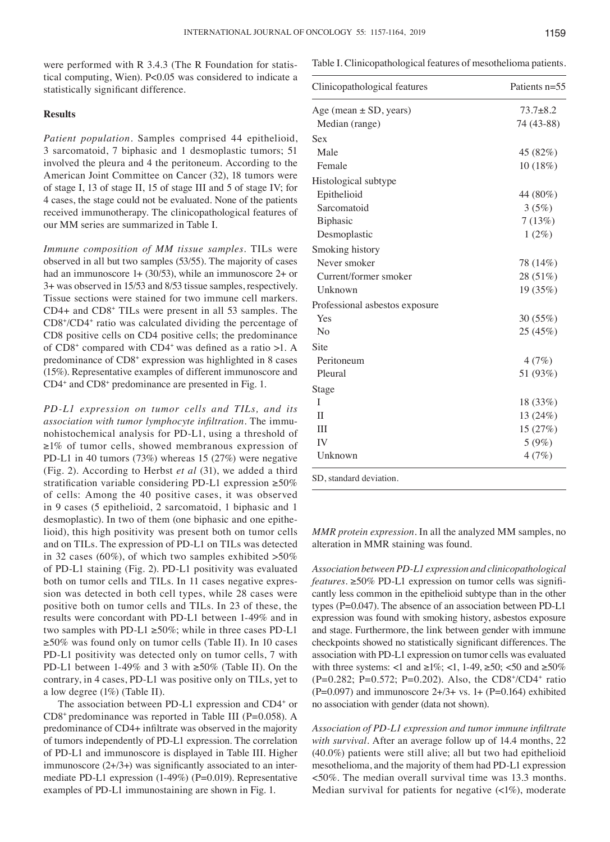were performed with R 3.4.3 (The R Foundation for statistical computing, Wien). P<0.05 was considered to indicate a statistically significant difference.

#### **Results**

*Patient population.* Samples comprised 44 epithelioid, 3 sarcomatoid, 7 biphasic and 1 desmoplastic tumors; 51 involved the pleura and 4 the peritoneum. According to the American Joint Committee on Cancer (32), 18 tumors were of stage I, 13 of stage II, 15 of stage III and 5 of stage IV; for 4 cases, the stage could not be evaluated. None of the patients received immunotherapy. The clinicopathological features of our MM series are summarized in Table I.

*Immune composition of MM tissue samples.* TILs were observed in all but two samples (53/55). The majority of cases had an immunoscore 1+ (30/53), while an immunoscore 2+ or 3+ was observed in 15/53 and 8/53 tissue samples, respectively. Tissue sections were stained for two immune cell markers. CD4+ and CD8+ TILs were present in all 53 samples. The CD8+ /CD4+ ratio was calculated dividing the percentage of CD8 positive cells on CD4 positive cells; the predominance of CD8+ compared with CD4+ was defined as a ratio >1. A predominance of CD8<sup>+</sup> expression was highlighted in 8 cases (15%). Representative examples of different immunoscore and CD4+ and CD8+ predominance are presented in Fig. 1.

*PD‑L1 expression on tumor cells and TILs, and its association with tumor lymphocyte infiltration.* The immunohistochemical analysis for PD-L1, using a threshold of ≥1% of tumor cells, showed membranous expression of PD-L1 in 40 tumors (73%) whereas 15 (27%) were negative (Fig. 2). According to Herbst *et al* (31), we added a third stratification variable considering PD‑L1 expression ≥50% of cells: Among the 40 positive cases, it was observed in 9 cases (5 epithelioid, 2 sarcomatoid, 1 biphasic and 1 desmoplastic). In two of them (one biphasic and one epithelioid), this high positivity was present both on tumor cells and on TILs. The expression of PD-L1 on TILs was detected in 32 cases (60%), of which two samples exhibited  $>50\%$ of PD-L1 staining (Fig. 2). PD-L1 positivity was evaluated both on tumor cells and TILs. In 11 cases negative expression was detected in both cell types, while 28 cases were positive both on tumor cells and TILs. In 23 of these, the results were concordant with PD-L1 between 1-49% and in two samples with PD-L1  $\geq$ 50%; while in three cases PD-L1 ≥50% was found only on tumor cells (Table II). In 10 cases PD-L1 positivity was detected only on tumor cells, 7 with PD-L1 between 1-49% and 3 with ≥50% (Table II). On the contrary, in 4 cases, PD-L1 was positive only on TILs, yet to a low degree (1%) (Table II).

The association between PD-L1 expression and CD4+ or  $CD8<sup>+</sup>$  predominance was reported in Table III (P=0.058). A predominance of CD4+ infiltrate was observed in the majority of tumors independently of PD-L1 expression. The correlation of PD-L1 and immunoscore is displayed in Table III. Higher immunoscore  $(2+/3+)$  was significantly associated to an intermediate PD-L1 expression (1-49%) (P=0.019). Representative examples of PD-L1 immunostaining are shown in Fig. 1.

Table I. Clinicopathological features of mesothelioma patients.

| $73.7 + 8.2$ |
|--------------|
|              |
| 74 (43-88)   |
|              |
| 45 (82%)     |
| 10 (18%)     |
|              |
| 44 (80%)     |
| 3(5%)        |
| 7(13%)       |
| $1(2\%)$     |
|              |
| 78 (14%)     |
| 28 (51%)     |
| 19 (35%)     |
|              |
| 30 (55%)     |
| 25 (45%)     |
|              |
| 4(7%)        |
| 51 (93%)     |
|              |
| 18 (33%)     |
| 13 (24%)     |
| 15 (27%)     |
| 5(9%)        |
| 4(7%)        |
|              |

*MMR protein expression.* In all the analyzed MM samples, no alteration in MMR staining was found.

*Association between PD‑L1 expression and clinicopathological features.* ≥50% PD‑L1 expression on tumor cells was significantly less common in the epithelioid subtype than in the other types (P=0.047). The absence of an association between PD-L1 expression was found with smoking history, asbestos exposure and stage. Furthermore, the link between gender with immune checkpoints showed no statistically significant differences. The association with PD-L1 expression on tumor cells was evaluated with three systems: <1 and  $\geq 1\%$ ; <1, 1-49,  $\geq 50$ ; <50 and  $\geq 50\%$ (P=0.282; P=0.572; P=0.202). Also, the CD8+ /CD4+ ratio (P=0.097) and immunoscore  $2+/3+$  vs. 1+ (P=0.164) exhibited no association with gender (data not shown).

*Association of PD‑L1 expression and tumor immune infiltrate with survival.* After an average follow up of 14.4 months, 22 (40.0%) patients were still alive; all but two had epithelioid mesothelioma, and the majority of them had PD-L1 expression <50%. The median overall survival time was 13.3 months. Median survival for patients for negative  $\left\langle \langle 1\% \rangle \right\rangle$ , moderate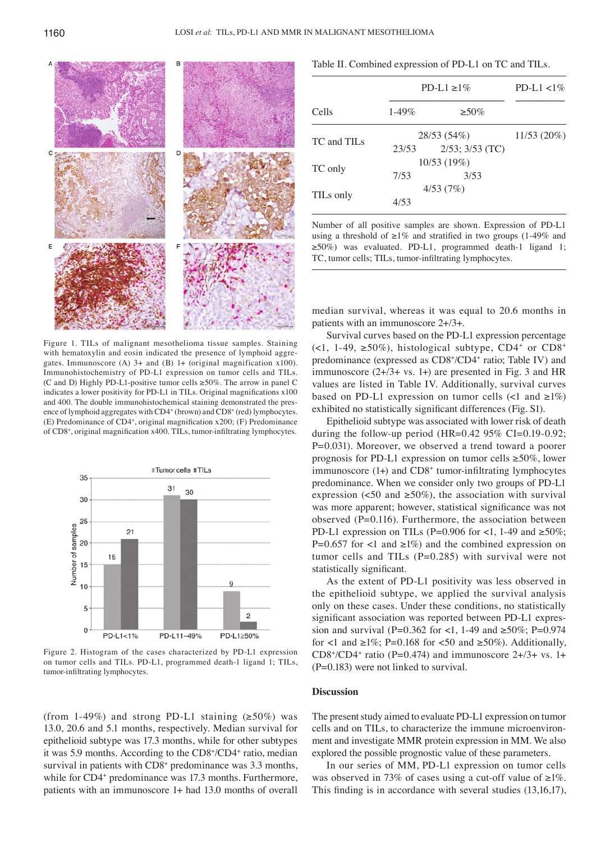

Figure 1. TILs of malignant mesothelioma tissue samples. Staining with hematoxylin and eosin indicated the presence of lymphoid aggregates. Immunoscore (A) 3+ and (B) 1+ (original magnification x100). Immunohistochemistry of PD-L1 expression on tumor cells and TILs. (C and D) Highly PD-L1-positive tumor cells  $\geq$ 50%. The arrow in panel C indicates a lower positivity for PD‑L1 in TILs. Original magnifications x100 and 400. The double immunohistochemical staining demonstrated the presence of lymphoid aggregates with CD4<sup>+</sup> (brown) and CD8<sup>+</sup> (red) lymphocytes. (E) Predominance of CD4+ , original magnification x200; (F) Predominance of CD8+ , original magnification x400. TILs, tumor‑infiltrating lymphocytes.



Figure 2. Histogram of the cases characterized by PD-L1 expression on tumor cells and TILs. PD-L1, programmed death-1 ligand 1; TILs, tumor‑infiltrating lymphocytes.

(from 1-49%) and strong PD-L1 staining  $(\geq 50\%)$  was 13.0, 20.6 and 5.1 months, respectively. Median survival for epithelioid subtype was 17.3 months, while for other subtypes it was 5.9 months. According to the CD8+/CD4+ ratio, median survival in patients with CD8<sup>+</sup> predominance was 3.3 months, while for CD4<sup>+</sup> predominance was 17.3 months. Furthermore, patients with an immunoscore 1+ had 13.0 months of overall

Table II. Combined expression of PD-L1 on TC and TILs.

|                         | $PD-L1 \ge 1\%$ | PD-L1 $<$ 1%         |            |
|-------------------------|-----------------|----------------------|------------|
| Cells                   | $1-49%$         | $> 50\%$             |            |
|                         |                 | 28/53(54%)           | 11/53(20%) |
| TC and TIL <sub>s</sub> | 23/53           | $2/53$ ; $3/53$ (TC) |            |
|                         |                 | 10/53(19%)           |            |
| TC only                 | 7/53            | 3/53                 |            |
|                         |                 | 4/53(7%)             |            |
| TILs only               | 4/53            |                      |            |

Number of all positive samples are shown. Expression of PD-L1 using a threshold of  $\geq$ 1% and stratified in two groups (1-49% and  $\geq$ 50%) was evaluated. PD-L1, programmed death-1 ligand 1; TC, tumor cells; TILs, tumor-infiltrating lymphocytes.

median survival, whereas it was equal to 20.6 months in patients with an immunoscore 2+/3+.

Survival curves based on the PD-L1 expression percentage  $(\leq 1, 1-49, \geq 50\%)$ , histological subtype, CD4<sup>+</sup> or CD8<sup>+</sup> predominance (expressed as CD8+/CD4+ ratio; Table IV) and immunoscore  $(2+/3+$  vs. 1+) are presented in Fig. 3 and HR values are listed in Table IV. Additionally, survival curves based on PD-L1 expression on tumor cells  $\left(\langle 1 \rangle \right)$  and  $\geq 1\%$ ) exhibited no statistically significant differences (Fig. S1).

Epithelioid subtype was associated with lower risk of death during the follow-up period (HR=0.42  $95\%$  CI=0.19-0.92; P=0.031). Moreover, we observed a trend toward a poorer prognosis for PD-L1 expression on tumor cells  $\geq 50\%$ , lower immunoscore (1+) and CD8<sup>+</sup> tumor-infiltrating lymphocytes predominance. When we consider only two groups of PD-L1 expression (<50 and  $\geq$ 50%), the association with survival was more apparent; however, statistical significance was not observed  $(P=0.116)$ . Furthermore, the association between PD-L1 expression on TILs (P=0.906 for <1, 1-49 and  $\geq 50\%$ ; P=0.657 for  $\lt 1$  and  $\geq 1\%$ ) and the combined expression on tumor cells and TILs (P=0.285) with survival were not statistically significant.

As the extent of PD-L1 positivity was less observed in the epithelioid subtype, we applied the survival analysis only on these cases. Under these conditions, no statistically significant association was reported between PD‑L1 expression and survival (P=0.362 for <1, 1-49 and ≥50%; P=0.974 for <1 and  $\geq 1\%$ ; P=0.168 for <50 and  $\geq 50\%$ ). Additionally, CD8<sup>+</sup>/CD4<sup>+</sup> ratio (P=0.474) and immunoscore  $2+/3+$  vs. 1+ (P=0.183) were not linked to survival.

#### **Discussion**

The present study aimed to evaluate PD-L1 expression on tumor cells and on TILs, to characterize the immune microenvironment and investigate MMR protein expression in MM. We also explored the possible prognostic value of these parameters.

In our series of MM, PD-L1 expression on tumor cells was observed in 73% of cases using a cut-off value of  $\geq$ 1%. This finding is in accordance with several studies (13,16,17),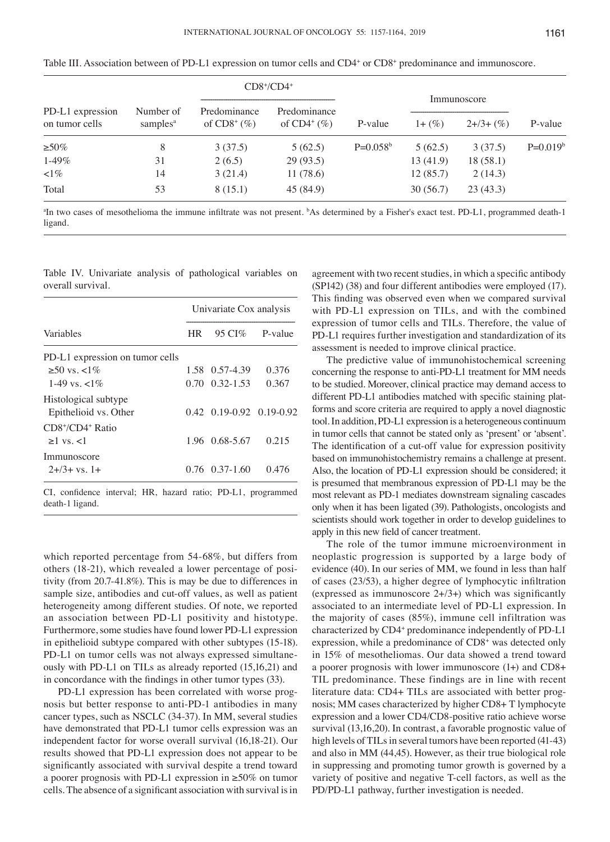|                  |                      |               | $CD8+/CD4+$    |            |             |           |            |
|------------------|----------------------|---------------|----------------|------------|-------------|-----------|------------|
| PD-L1 expression | Number of            | Predominance  | Predominance   |            | Immunoscore |           |            |
| on tumor cells   | samples <sup>a</sup> | of $CD8^+(%)$ | of $CD4^+(\%)$ | P-value    | $1 + (\%)$  | $2+3+(%)$ | P-value    |
| $\geq 50\%$      | 8                    | 3(37.5)       | 5(62.5)        | $P=0.058b$ | 5(62.5)     | 3(37.5)   | $P=0.019b$ |
| $1-49\%$         | 31                   | 2(6.5)        | 29(93.5)       |            | 13(41.9)    | 18(58.1)  |            |
| $\leq 1\%$       | 14                   | 3(21.4)       | 11(78.6)       |            | 12(85.7)    | 2(14.3)   |            |
| Total            | 53                   | 8(15.1)       | 45(84.9)       |            | 30(56.7)    | 23(43.3)  |            |

Table III. Association between of PD-L1 expression on tumor cells and CD4<sup>+</sup> or CD8<sup>+</sup> predominance and immunoscore.

<sup>a</sup>In two cases of mesothelioma the immune infiltrate was not present. <sup>b</sup>As determined by a Fisher's exact test. PD-L1, programmed death-1 ligand.

|  |                   |  | Table IV. Univariate analysis of pathological variables on |  |
|--|-------------------|--|------------------------------------------------------------|--|
|  | overall survival. |  |                                                            |  |

|                                                              | Univariate Cox analysis |                                    |                |  |
|--------------------------------------------------------------|-------------------------|------------------------------------|----------------|--|
| Variables                                                    | HR.                     |                                    | 95 CI% P-value |  |
| PD-L1 expression on tumor cells                              |                         |                                    |                |  |
| ≥50 vs. <1%                                                  |                         | 1.58 0.57-4.39                     | 0.376          |  |
| 1-49 ys $\lt 1\%$                                            |                         | $0.70 \quad 0.32 - 1.53$           | 0.367          |  |
| Histological subtype                                         |                         |                                    |                |  |
| Epithelioid vs. Other                                        |                         | $0.42$ $0.19 - 0.92$ $0.19 - 0.92$ |                |  |
| $CD8*/CD4$ <sup>+</sup> Ratio                                |                         |                                    |                |  |
| $>1$ vs. $<1$                                                |                         | 1.96 0.68-5.67                     | 0.215          |  |
| Immunoscore                                                  |                         |                                    |                |  |
| $2+3+$ vs. 1+                                                |                         | $0.76$ $0.37-1.60$                 | 0.476          |  |
| CI, confidence interval; HR, hazard ratio; PD-L1, programmed |                         |                                    |                |  |

death-1 ligand.

which reported percentage from 54-68%, but differs from others (18-21), which revealed a lower percentage of positivity (from 20.7-41.8%). This is may be due to differences in sample size, antibodies and cut-off values, as well as patient heterogeneity among different studies. Of note, we reported an association between PD-L1 positivity and histotype. Furthermore, some studies have found lower PD-L1 expression in epithelioid subtype compared with other subtypes (15-18). PD-L1 on tumor cells was not always expressed simultaneously with PD-L1 on TILs as already reported (15,16,21) and in concordance with the findings in other tumor types (33).

PD-L1 expression has been correlated with worse prognosis but better response to anti-PD-1 antibodies in many cancer types, such as NSCLC (34-37). In MM, several studies have demonstrated that PD-L1 tumor cells expression was an independent factor for worse overall survival (16,18-21). Our results showed that PD-L1 expression does not appear to be significantly associated with survival despite a trend toward a poorer prognosis with PD‑L1 expression in ≥50% on tumor cells. The absence of a significant association with survival is in agreement with two recent studies, in which a specific antibody (SP142) (38) and four different antibodies were employed (17). This finding was observed even when we compared survival with PD-L1 expression on TILs, and with the combined expression of tumor cells and TILs. Therefore, the value of PD-L1 requires further investigation and standardization of its assessment is needed to improve clinical practice.

The predictive value of immunohistochemical screening concerning the response to anti-PD-L1 treatment for MM needs to be studied. Moreover, clinical practice may demand access to different PD-L1 antibodies matched with specific staining platforms and score criteria are required to apply a novel diagnostic tool. In addition, PD-L1 expression is a heterogeneous continuum in tumor cells that cannot be stated only as 'present' or 'absent'. The identification of a cut-off value for expression positivity based on immunohistochemistry remains a challenge at present. Also, the location of PD-L1 expression should be considered; it is presumed that membranous expression of PD-L1 may be the most relevant as PD-1 mediates downstream signaling cascades only when it has been ligated (39). Pathologists, oncologists and scientists should work together in order to develop guidelines to apply in this new field of cancer treatment.

The role of the tumor immune microenvironment in neoplastic progression is supported by a large body of evidence (40). In our series of MM, we found in less than half of cases (23/53), a higher degree of lymphocytic infiltration (expressed as immunoscore  $2+(3+)$  which was significantly associated to an intermediate level of PD-L1 expression. In the majority of cases (85%), immune cell infiltration was characterized by CD4<sup>+</sup> predominance independently of PD-L1 expression, while a predominance of CD8<sup>+</sup> was detected only in 15% of mesotheliomas. Our data showed a trend toward a poorer prognosis with lower immunoscore (1+) and CD8+ TIL predominance. These findings are in line with recent literature data: CD4+ TILs are associated with better prognosis; MM cases characterized by higher CD8+ T lymphocyte expression and a lower CD4/CD8-positive ratio achieve worse survival (13,16,20). In contrast, a favorable prognostic value of high levels of TILs in several tumors have been reported (41-43) and also in MM (44,45). However, as their true biological role in suppressing and promoting tumor growth is governed by a variety of positive and negative T-cell factors, as well as the PD/PD-L1 pathway, further investigation is needed.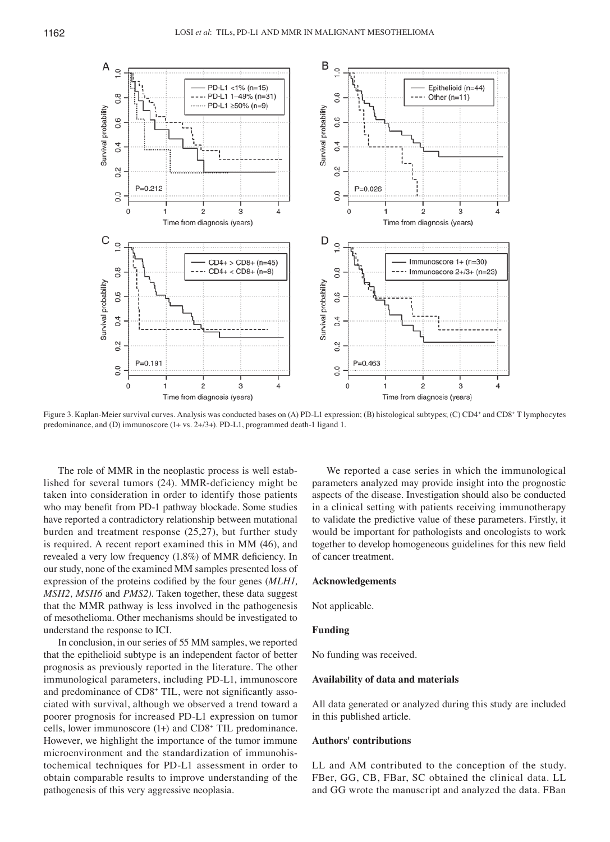

Figure 3. Kaplan-Meier survival curves. Analysis was conducted bases on (A) PD-L1 expression; (B) histological subtypes; (C) CD4+ and CD8+ T lymphocytes predominance, and (D) immunoscore (1+ vs. 2+/3+). PD-L1, programmed death-1 ligand 1.

The role of MMR in the neoplastic process is well established for several tumors (24). MMR-deficiency might be taken into consideration in order to identify those patients who may benefit from PD-1 pathway blockade. Some studies have reported a contradictory relationship between mutational burden and treatment response (25,27), but further study is required. A recent report examined this in MM (46), and revealed a very low frequency (1.8%) of MMR deficiency. In our study, none of the examined MM samples presented loss of expression of the proteins codified by the four genes (*MLH1, MSH2, MSH6* and *PMS2)*. Taken together, these data suggest that the MMR pathway is less involved in the pathogenesis of mesothelioma. Other mechanisms should be investigated to understand the response to ICI.

In conclusion, in our series of 55 MM samples, we reported that the epithelioid subtype is an independent factor of better prognosis as previously reported in the literature. The other immunological parameters, including PD-L1, immunoscore and predominance of CD8+ TIL, were not significantly associated with survival, although we observed a trend toward a poorer prognosis for increased PD-L1 expression on tumor cells, lower immunoscore (1+) and CD8+ TIL predominance. However, we highlight the importance of the tumor immune microenvironment and the standardization of immunohistochemical techniques for PD-L1 assessment in order to obtain comparable results to improve understanding of the pathogenesis of this very aggressive neoplasia.

We reported a case series in which the immunological parameters analyzed may provide insight into the prognostic aspects of the disease. Investigation should also be conducted in a clinical setting with patients receiving immunotherapy to validate the predictive value of these parameters. Firstly, it would be important for pathologists and oncologists to work together to develop homogeneous guidelines for this new field of cancer treatment.

## **Acknowledgements**

Not applicable.

## **Funding**

No funding was received.

#### **Availability of data and materials**

All data generated or analyzed during this study are included in this published article.

### **Authors' contributions**

LL and AM contributed to the conception of the study. FBer, GG, CB, FBar, SC obtained the clinical data. LL and GG wrote the manuscript and analyzed the data. FBan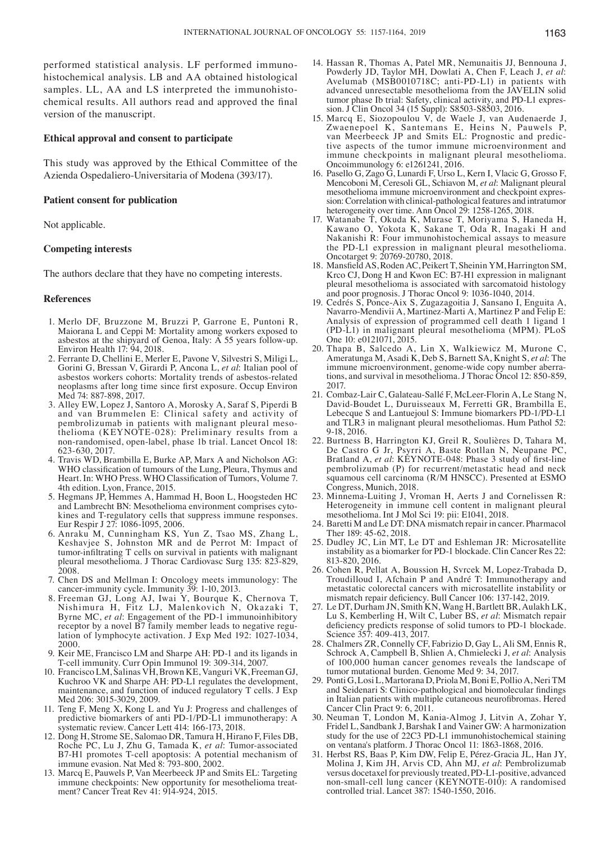performed statistical analysis. LF performed immunohistochemical analysis. LB and AA obtained histological samples. LL, AA and LS interpreted the immunohistochemical results. All authors read and approved the final version of the manuscript.

#### **Ethical approval and consent to participate**

This study was approved by the Ethical Committee of the Azienda Ospedaliero-Universitaria of Modena (393/17).

#### **Patient consent for publication**

Not applicable.

## **Competing interests**

The authors declare that they have no competing interests.

#### **References**

- 1. Merlo DF, Bruzzone M, Bruzzi P, Garrone E, Puntoni R, Maiorana L and Ceppi M: Mortality among workers exposed to asbestos at the shipyard of Genoa, Italy: A 55 years follow-up. Environ Health  $17:94, 2018$ .
- 2. Ferrante D, Chellini E, Merler E, Pavone V, Silvestri S, Miligi L, Gorini G, Bressan V, Girardi P, Ancona L, *et al*: Italian pool of asbestos workers cohorts: Mortality trends of asbestos-related neoplasms after long time since first exposure. Occup Environ Med 74: 887-898, 2017.
- 3. Alley EW, Lopez J, Santoro A, Morosky A, Saraf S, Piperdi B and van Brummelen E: Clinical safety and activity of pembrolizumab in patients with malignant pleural mesothelioma (KEYNOTE-028): Preliminary results from a non-randomised, open-label, phase 1b trial. Lancet Oncol 18: 623-630, 2017.
- 4. Travis WD, Brambilla E, Burke AP, Marx A and Nicholson AG: WHO classification of tumours of the Lung, Pleura, Thymus and Heart. In: WHO Press. WHO Classification of Tumors, Volume 7. 4th edition. Lyon, France, 2015.
- 5. Hegmans JP, Hemmes A, Hammad H, Boon L, Hoogsteden HC and Lambrecht BN: Mesothelioma environment comprises cytokines and T-regulatory cells that suppress immune responses. Eur Respir J 27: 1086-1095, 2006.
- 6. Anraku M, Cunningham KS, Yun Z, Tsao MS, Zhang L, Keshavjee S, Johnston MR and de Perrot M: Impact of tumor‑infiltrating T cells on survival in patients with malignant pleural mesothelioma. J Thorac Cardiovasc Surg 135: 823-829, 2008.
- 7. Chen DS and Mellman I: Oncology meets immunology: The cancer-immunity cycle. Immunity 39: 1-10, 2013.
- 8. Freeman GJ, Long AJ, Iwai Y, Bourque K, Chernova T, Nishimura H, Fitz LJ, Malenkovich N, Okazaki T, Byrne MC, *et al*: Engagement of the PD-1 immunoinhibitory receptor by a novel B7 family member leads to negative regulation of lymphocyte activation. J Exp Med 192: 1027-1034, 2000.
- 9. Keir ME, Francisco LM and Sharpe AH: PD-1 and its ligands in T-cell immunity. Curr Opin Immunol 19: 309-314, 2007.
- 10. Francisco LM, Salinas VH, Brown KE, Vanguri VK, Freeman GJ, Kuchroo VK and Sharpe AH: PD-L1 regulates the development, maintenance, and function of induced regulatory T cells. J Exp Med 206: 3015-3029, 2009.
- 11. Teng F, Meng X, Kong L and Yu J: Progress and challenges of predictive biomarkers of anti PD-1/PD-L1 immunotherapy: A systematic review. Cancer Lett 414: 166-173, 2018.
- 12. Dong H, Strome SE, Salomao DR, Tamura H, Hirano F, Files DB, Roche PC, Lu J, Zhu G, Tamada K, *et al*: Tumor-associated B7-H1 promotes T-cell apoptosis: A potential mechanism of immune evasion. Nat Med 8: 793-800, 2002.
- 13. Marcq E, Pauwels P, Van Meerbeeck JP and Smits EL: Targeting immune checkpoints: New opportunity for mesothelioma treatment? Cancer Treat Rev 41: 914-924, 2015.
- 14. Hassan R, Thomas A, Patel MR, Nemunaitis JJ, Bennouna J, Powderly JD, Taylor MH, Dowlati A, Chen F, Leach J, *et al*: Avelumab (MSB0010718C; anti-PD-L1) in patients with advanced unresectable mesothelioma from the JAVELIN solid tumor phase Ib trial: Safety, clinical activity, and PD-L1 expression. J Clin Oncol 34 (15 Suppl): S8503-S8503, 2016.
- 15. Marcq E, Siozopoulou V, de Waele J, van Audenaerde J, Zwaenepoel K, Santemans E, Heins N, Pauwels P, van Meerbeeck JP and Smits EL: Prognostic and predictive aspects of the tumor immune microenvironment and immune checkpoints in malignant pleural mesothelioma. Oncoimmunology 6: e1261241, 2016.
- 16. Pasello G, Zago G, Lunardi F, Urso L, Kern I, Vlacic G, Grosso F, Mencoboni M, Ceresoli GL, Schiavon M, *et al*: Malignant pleural mesothelioma immune microenvironment and checkpoint expression: Correlation with clinical-pathological features and intratumor heterogeneity over time. Ann Oncol 29: 1258-1265, 2018.
- 17. Watanabe T, Okuda K, Murase T, Moriyama S, Haneda H, Kawano O, Yokota K, Sakane T, Oda R, Inagaki H and Nakanishi R: Four immunohistochemical assays to measure the PD-L1 expression in malignant pleural mesothelioma. Oncotarget 9: 20769-20780, 2018.
- 18. Mansfield AS, Roden AC, Peikert T, Sheinin YM, Harrington SM, Krco CJ, Dong H and Kwon EC: B7-H1 expression in malignant pleural mesothelioma is associated with sarcomatoid histology and poor prognosis. J Thorac Oncol 9: 1036-1040, 2014.
- 19. Cedrés S, Ponce-Aix S, Zugazagoitia J, Sansano I, Enguita A, Navarro-Mendivii A, Martinez-Marti A, Martinez P and Felip E: Analysis of expression of programmed cell death 1 ligand 1 (PD-L1) in malignant pleural mesothelioma (MPM). PLoS One 10: e0121071, 2015.
- 20. Thapa B, Salcedo A, Lin X, Walkiewicz M, Murone C, Ameratunga M, Asadi K, Deb S, Barnett SA, Knight S, *et al*: The immune microenvironment, genome-wide copy number aberrations, and survival in mesothelioma. J Thorac Oncol 12: 850-859, 2017.
- 21. Combaz-Lair C, Galateau-Sallé F, McLeer-Florin A, Le Stang N, David-Boudet L, Duruisseaux M, Ferretti GR, Brambilla E, Lebecque S and Lantuejoul S: Immune biomarkers PD-1/PD-L1 and TLR3 in malignant pleural mesotheliomas. Hum Pathol 52: 9-18, 2016.
- 22. Burtness B, Harrington KJ, Greil R, Soulières D, Tahara M, De Castro G Jr, Psyrri A, Baste Rotllan N, Neupane PC, Bratland A, *et al*: KEYNOTE-048: Phase 3 study of first-line pembrolizumab (P) for recurrent/metastatic head and neck squamous cell carcinoma (R/M HNSCC). Presented at ESMO Congress, Munich, 2018.
- 23. Minnema-Luiting J, Vroman H, Aerts J and Cornelissen R: Heterogeneity in immune cell content in malignant pleural mesothelioma. Int J Mol Sci 19: pii: E1041, 2018.
- 24. Baretti M and Le DT: DNA mismatch repair in cancer. Pharmacol Ther 189: 45-62, 2018.
- 25. Dudley JC, Lin MT, Le DT and Eshleman JR: Microsatellite instability as a biomarker for PD-1 blockade. Clin Cancer Res 22: 813-820, 2016.
- 26. Cohen R, Pellat A, Boussion H, Svrcek M, Lopez-Trabada D, Troudilloud I, Afchain P and André T: Immunotherapy and metastatic colorectal cancers with microsatellite instability or mismatch repair deficiency. Bull Cancer 106: 137‑142, 2019.
- 27. Le DT, Durham JN, Smith KN, Wang H, Bartlett BR, Aulakh LK, Lu S, Kemberling H, Wilt C, Luber BS, *et al*: Mismatch repair deficiency predicts response of solid tumors to PD‑1 blockade. Science 357: 409-413, 2017.
- 28. Chalmers ZR, Connelly CF, Fabrizio D, Gay L, Ali SM, Ennis R, Schrock A, Campbell B, Shlien A, Chmielecki J, *et al*: Analysis of 100,000 human cancer genomes reveals the landscape of tumor mutational burden. Genome Med 9: 34, 2017.
- 29. Ponti G, Losi L, Martorana D, Priola M, Boni E, Pollio A, Neri TM and Seidenari S: Clinico‑pathological and biomolecular findings in Italian patients with multiple cutaneous neurofibromas. Hered Cancer Clin Pract 9: 6, 2011.
- 30. Neuman T, London M, Kania-Almog J, Litvin A, Zohar Y, Fridel L, Sandbank J, Barshak I and Vainer GW: A harmonization study for the use of 22C3 PD-L1 immunohistochemical staining on ventana's platform. J Thorac Oncol 11: 1863-1868, 2016.
- 31. Herbst RS, Baas P, Kim DW, Felip E, Pérez-Gracia JL, Han JY, Molina J, Kim JH, Arvis CD, Ahn MJ, *et al*: Pembrolizumab versus docetaxel for previously treated, PD-L1-positive, advanced non-small-cell lung cancer (KEYNOTE-010): A randomised controlled trial. Lancet 387: 1540-1550, 2016.